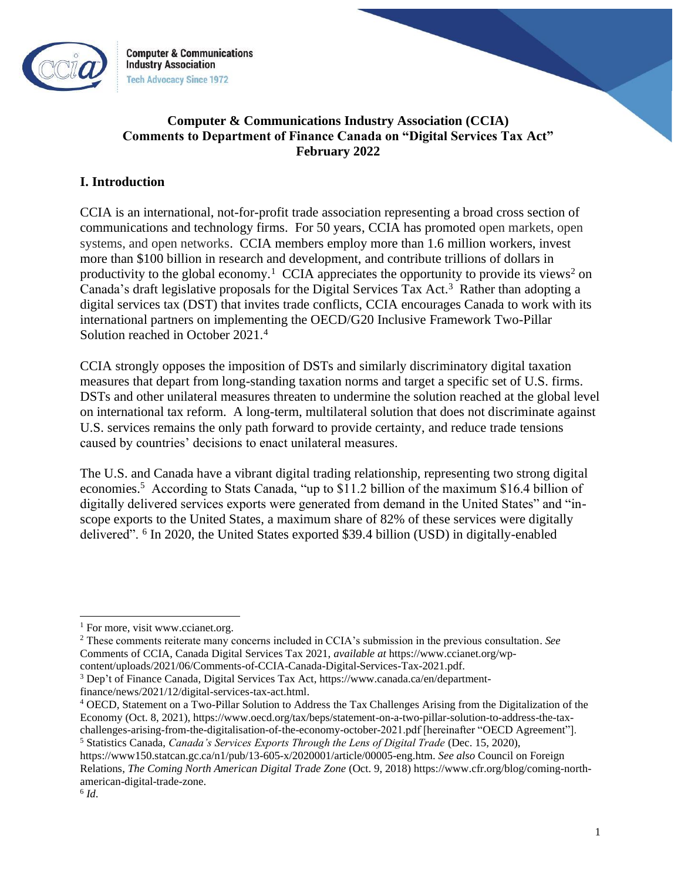

**Computer & Communications Industry Association Tech Advocacy Since 1972** 

# **Computer & Communications Industry Association (CCIA) Comments to Department of Finance Canada on "Digital Services Tax Act" February 2022**

## **I. Introduction**

CCIA is an international, not-for-profit trade association representing a broad cross section of communications and technology firms. For 50 years, CCIA has promoted open markets, open systems, and open networks. CCIA members employ more than 1.6 million workers, invest more than \$100 billion in research and development, and contribute trillions of dollars in productivity to the global economy.<sup>1</sup> CCIA appreciates the opportunity to provide its views<sup>2</sup> on Canada's draft legislative proposals for the Digital Services Tax Act.<sup>3</sup> Rather than adopting a digital services tax (DST) that invites trade conflicts, CCIA encourages Canada to work with its international partners on implementing the OECD/G20 Inclusive Framework Two-Pillar Solution reached in October 2021.<sup>4</sup>

CCIA strongly opposes the imposition of DSTs and similarly discriminatory digital taxation measures that depart from long-standing taxation norms and target a specific set of U.S. firms. DSTs and other unilateral measures threaten to undermine the solution reached at the global level on international tax reform. A long-term, multilateral solution that does not discriminate against U.S. services remains the only path forward to provide certainty, and reduce trade tensions caused by countries' decisions to enact unilateral measures.

The U.S. and Canada have a vibrant digital trading relationship, representing two strong digital economies.<sup>5</sup> According to Stats Canada, "up to \$11.2 billion of the maximum \$16.4 billion of digitally delivered services exports were generated from demand in the United States" and "inscope exports to the United States, a maximum share of 82% of these services were digitally delivered". <sup>6</sup> In 2020, the United States exported \$39.4 billion (USD) in digitally-enabled

<sup>2</sup> These comments reiterate many concerns included in CCIA's submission in the previous consultation. *See* Comments of CCIA, Canada Digital Services Tax 2021, *available at* https://www.ccianet.org/wp-

 $<sup>1</sup>$  For more, visit www.ccianet.org.</sup>

content/uploads/2021/06/Comments-of-CCIA-Canada-Digital-Services-Tax-2021.pdf.

<sup>3</sup> Dep't of Finance Canada*,* Digital Services Tax Act, https://www.canada.ca/en/departmentfinance/news/2021/12/digital-services-tax-act.html.

<sup>4</sup> OECD, Statement on a Two-Pillar Solution to Address the Tax Challenges Arising from the Digitalization of the Economy (Oct. 8, 2021), https://www.oecd.org/tax/beps/statement-on-a-two-pillar-solution-to-address-the-taxchallenges-arising-from-the-digitalisation-of-the-economy-october-2021.pdf [hereinafter "OECD Agreement"]. <sup>5</sup> Statistics Canada, *Canada's Services Exports Through the Lens of Digital Trade* (Dec. 15, 2020),

https://www150.statcan.gc.ca/n1/pub/13-605-x/2020001/article/00005-eng.htm. *See also* Council on Foreign Relations, *The Coming North American Digital Trade Zone* (Oct. 9, 2018) https://www.cfr.org/blog/coming-northamerican-digital-trade-zone.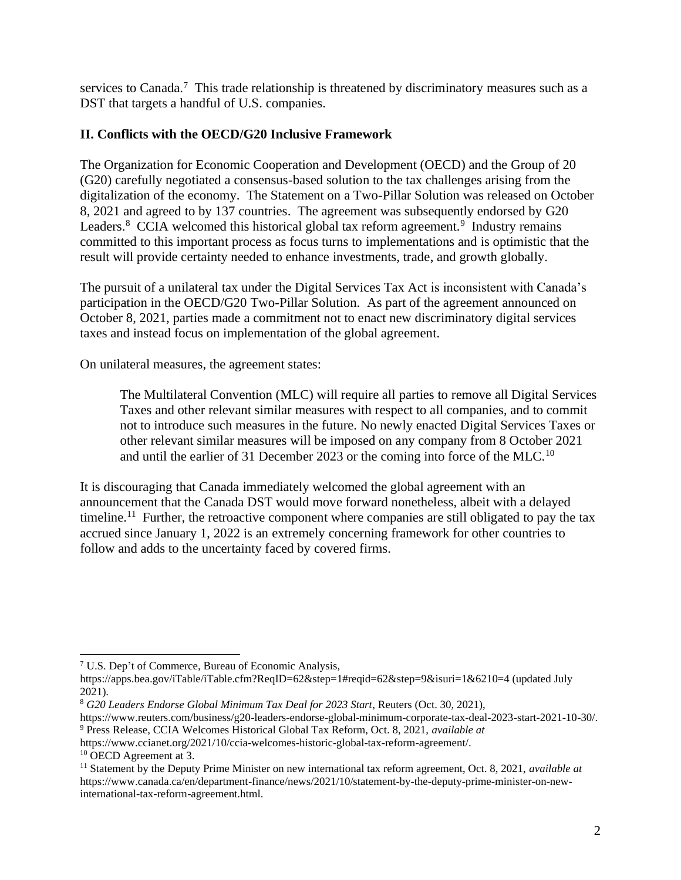services to Canada.<sup>7</sup> This trade relationship is threatened by discriminatory measures such as a DST that targets a handful of U.S. companies.

# **II. Conflicts with the OECD/G20 Inclusive Framework**

The Organization for Economic Cooperation and Development (OECD) and the Group of 20 (G20) carefully negotiated a consensus-based solution to the tax challenges arising from the digitalization of the economy. The Statement on a Two-Pillar Solution was released on October 8, 2021 and agreed to by 137 countries. The agreement was subsequently endorsed by G20 Leaders. $8$  CCIA welcomed this historical global tax reform agreement. $9$  Industry remains committed to this important process as focus turns to implementations and is optimistic that the result will provide certainty needed to enhance investments, trade, and growth globally.

The pursuit of a unilateral tax under the Digital Services Tax Act is inconsistent with Canada's participation in the OECD/G20 Two-Pillar Solution. As part of the agreement announced on October 8, 2021, parties made a commitment not to enact new discriminatory digital services taxes and instead focus on implementation of the global agreement.

On unilateral measures, the agreement states:

The Multilateral Convention (MLC) will require all parties to remove all Digital Services Taxes and other relevant similar measures with respect to all companies, and to commit not to introduce such measures in the future. No newly enacted Digital Services Taxes or other relevant similar measures will be imposed on any company from 8 October 2021 and until the earlier of 31 December 2023 or the coming into force of the MLC.<sup>10</sup>

It is discouraging that Canada immediately welcomed the global agreement with an announcement that the Canada DST would move forward nonetheless, albeit with a delayed timeline.<sup>11</sup> Further, the retroactive component where companies are still obligated to pay the tax accrued since January 1, 2022 is an extremely concerning framework for other countries to follow and adds to the uncertainty faced by covered firms.

<sup>7</sup> U.S. Dep't of Commerce, Bureau of Economic Analysis,

https://apps.bea.gov/iTable/iTable.cfm?ReqID=62&step=1#reqid=62&step=9&isuri=1&6210=4 (updated July 2021).

<sup>8</sup> *G20 Leaders Endorse Global Minimum Tax Deal for 2023 Start*, Reuters (Oct. 30, 2021),

https://www.reuters.com/business/g20-leaders-endorse-global-minimum-corporate-tax-deal-2023-start-2021-10-30/. <sup>9</sup> Press Release, CCIA Welcomes Historical Global Tax Reform, Oct. 8, 2021, *available at*

https://www.ccianet.org/2021/10/ccia-welcomes-historic-global-tax-reform-agreement/.

<sup>&</sup>lt;sup>10</sup> OECD Agreement at 3.

<sup>11</sup> Statement by the Deputy Prime Minister on new international tax reform agreement, Oct. 8, 2021, *available at* https://www.canada.ca/en/department-finance/news/2021/10/statement-by-the-deputy-prime-minister-on-newinternational-tax-reform-agreement.html.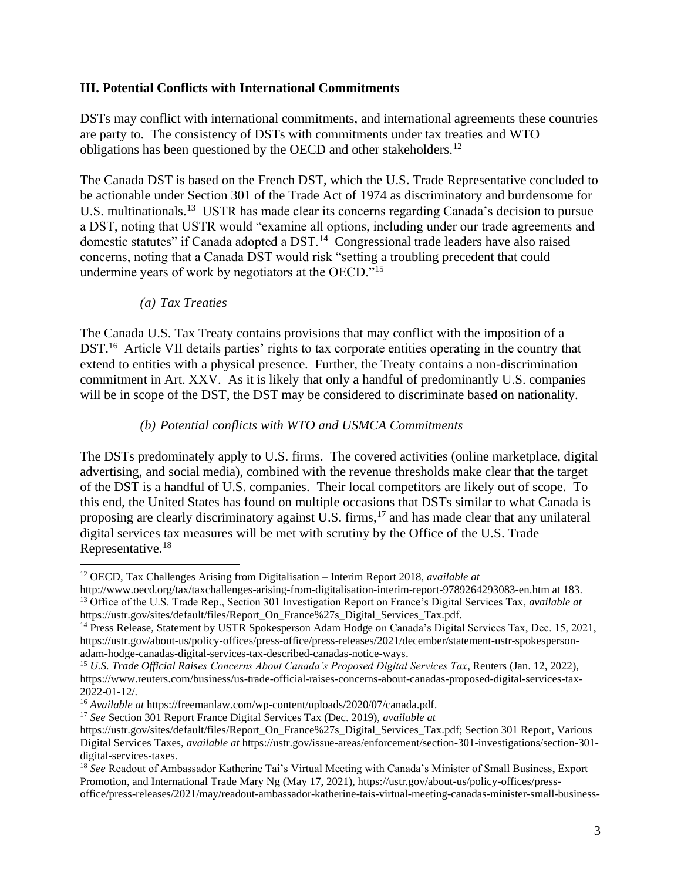#### **III. Potential Conflicts with International Commitments**

DSTs may conflict with international commitments, and international agreements these countries are party to. The consistency of DSTs with commitments under tax treaties and WTO obligations has been questioned by the OECD and other stakeholders.<sup>12</sup>

The Canada DST is based on the French DST, which the U.S. Trade Representative concluded to be actionable under Section 301 of the Trade Act of 1974 as discriminatory and burdensome for U.S. multinationals.<sup>13</sup> USTR has made clear its concerns regarding Canada's decision to pursue a DST, noting that USTR would "examine all options, including under our trade agreements and domestic statutes" if Canada adopted a DST.<sup>14</sup> Congressional trade leaders have also raised concerns, noting that a Canada DST would risk "setting a troubling precedent that could undermine years of work by negotiators at the OECD."<sup>15</sup>

#### *(a) Tax Treaties*

The Canada U.S. Tax Treaty contains provisions that may conflict with the imposition of a DST.<sup>16</sup> Article VII details parties' rights to tax corporate entities operating in the country that extend to entities with a physical presence. Further, the Treaty contains a non-discrimination commitment in Art. XXV. As it is likely that only a handful of predominantly U.S. companies will be in scope of the DST, the DST may be considered to discriminate based on nationality.

#### *(b) Potential conflicts with WTO and USMCA Commitments*

The DSTs predominately apply to U.S. firms. The covered activities (online marketplace, digital advertising, and social media), combined with the revenue thresholds make clear that the target of the DST is a handful of U.S. companies. Their local competitors are likely out of scope. To this end, the United States has found on multiple occasions that DSTs similar to what Canada is proposing are clearly discriminatory against U.S. firms,<sup>17</sup> and has made clear that any unilateral digital services tax measures will be met with scrutiny by the Office of the U.S. Trade Representative.<sup>18</sup>

<sup>12</sup> OECD, Tax Challenges Arising from Digitalisation – Interim Report 2018, *available at* 

http://www.oecd.org/tax/taxchallenges-arising-from-digitalisation-interim-report-9789264293083-en.htm at 183. <sup>13</sup> Office of the U.S. Trade Rep., Section 301 Investigation Report on France's Digital Services Tax, *available at* https://ustr.gov/sites/default/files/Report\_On\_France%27s\_Digital\_Services\_Tax.pdf.

<sup>&</sup>lt;sup>14</sup> Press Release, Statement by USTR Spokesperson Adam Hodge on Canada's Digital Services Tax, Dec. 15, 2021, https://ustr.gov/about-us/policy-offices/press-office/press-releases/2021/december/statement-ustr-spokespersonadam-hodge-canadas-digital-services-tax-described-canadas-notice-ways.

<sup>15</sup> *U.S. Trade Official Raises Concerns About Canada's Proposed Digital Services Tax*, Reuters (Jan. 12, 2022), https://www.reuters.com/business/us-trade-official-raises-concerns-about-canadas-proposed-digital-services-tax-2022-01-12/.

<sup>16</sup> *Available at* https://freemanlaw.com/wp-content/uploads/2020/07/canada.pdf.

<sup>17</sup> *See* Section 301 Report France Digital Services Tax (Dec. 2019), *available at*

https://ustr.gov/sites/default/files/Report\_On\_France%27s\_Digital\_Services\_Tax.pdf; Section 301 Report, Various Digital Services Taxes, *available at* https://ustr.gov/issue-areas/enforcement/section-301-investigations/section-301 digital-services-taxes.

<sup>18</sup> *See* Readout of Ambassador Katherine Tai's Virtual Meeting with Canada's Minister of Small Business, Export Promotion, and International Trade Mary Ng (May 17, 2021), https://ustr.gov/about-us/policy-offices/pressoffice/press-releases/2021/may/readout-ambassador-katherine-tais-virtual-meeting-canadas-minister-small-business-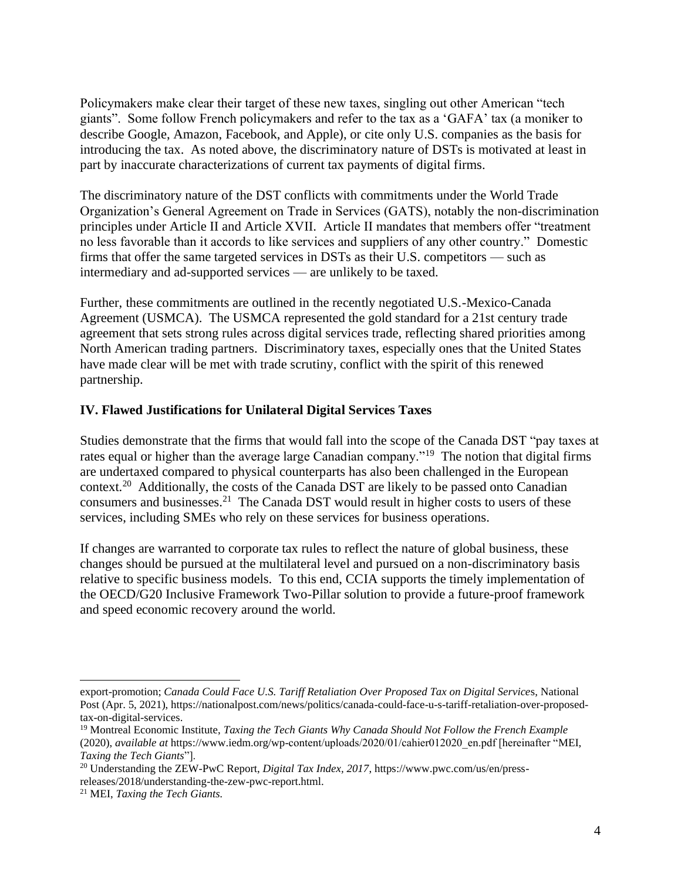Policymakers make clear their target of these new taxes, singling out other American "tech giants". Some follow French policymakers and refer to the tax as a 'GAFA' tax (a moniker to describe Google, Amazon, Facebook, and Apple), or cite only U.S. companies as the basis for introducing the tax. As noted above, the discriminatory nature of DSTs is motivated at least in part by inaccurate characterizations of current tax payments of digital firms.

The discriminatory nature of the DST conflicts with commitments under the World Trade Organization's General Agreement on Trade in Services (GATS), notably the non-discrimination principles under Article II and Article XVII. Article II mandates that members offer "treatment no less favorable than it accords to like services and suppliers of any other country." Domestic firms that offer the same targeted services in DSTs as their U.S. competitors — such as intermediary and ad-supported services — are unlikely to be taxed.

Further, these commitments are outlined in the recently negotiated U.S.-Mexico-Canada Agreement (USMCA). The USMCA represented the gold standard for a 21st century trade agreement that sets strong rules across digital services trade, reflecting shared priorities among North American trading partners. Discriminatory taxes, especially ones that the United States have made clear will be met with trade scrutiny, conflict with the spirit of this renewed partnership.

#### **IV. Flawed Justifications for Unilateral Digital Services Taxes**

Studies demonstrate that the firms that would fall into the scope of the Canada DST "pay taxes at rates equal or higher than the average large Canadian company."<sup>19</sup> The notion that digital firms are undertaxed compared to physical counterparts has also been challenged in the European context.<sup>20</sup> Additionally, the costs of the Canada DST are likely to be passed onto Canadian consumers and businesses.<sup>21</sup> The Canada DST would result in higher costs to users of these services, including SMEs who rely on these services for business operations.

If changes are warranted to corporate tax rules to reflect the nature of global business, these changes should be pursued at the multilateral level and pursued on a non-discriminatory basis relative to specific business models. To this end, CCIA supports the timely implementation of the OECD/G20 Inclusive Framework Two-Pillar solution to provide a future-proof framework and speed economic recovery around the world.

export-promotion; *Canada Could Face U.S. Tariff Retaliation Over Proposed Tax on Digital Service*s, National Post (Apr. 5, 2021), https://nationalpost.com/news/politics/canada-could-face-u-s-tariff-retaliation-over-proposedtax-on-digital-services.

<sup>19</sup> Montreal Economic Institute, *Taxing the Tech Giants Why Canada Should Not Follow the French Example* (2020), *available at* https://www.iedm.org/wp-content/uploads/2020/01/cahier012020\_en.pdf [hereinafter "MEI, *Taxing the Tech Giants*"].

<sup>20</sup> Understanding the ZEW-PwC Report, *Digital Tax Index, 2017*, https://www.pwc.com/us/en/pressreleases/2018/understanding-the-zew-pwc-report.html.

<sup>21</sup> MEI, *Taxing the Tech Giants.*